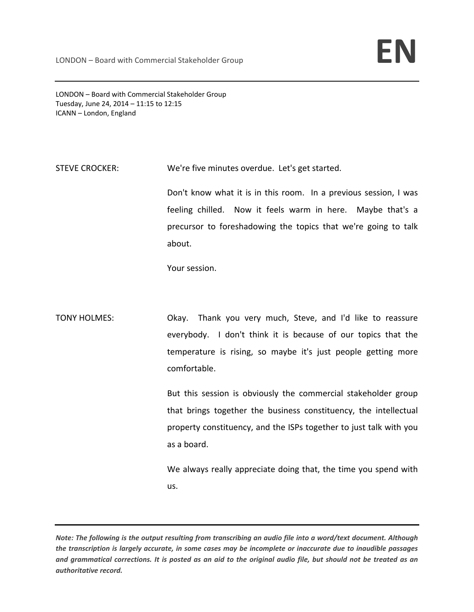LONDON – Board with Commercial Stakeholder Group Tuesday, June 24, 2014 – 11:15 to 12:15 ICANN – London, England

STEVE CROCKER: We're five minutes overdue. Let's get started.

Don't know what it is in this room. In a previous session, I was feeling chilled. Now it feels warm in here. Maybe that's a precursor to foreshadowing the topics that we're going to talk about.

Your session.

TONY HOLMES: Okay. Thank you very much, Steve, and I'd like to reassure everybody. I don't think it is because of our topics that the temperature is rising, so maybe it's just people getting more comfortable.

> But this session is obviously the commercial stakeholder group that brings together the business constituency, the intellectual property constituency, and the ISPs together to just talk with you as a board.

> We always really appreciate doing that, the time you spend with us.

Note: The following is the output resulting from transcribing an audio file into a word/text document. Although the transcription is largely accurate, in some cases may be incomplete or inaccurate due to inaudible passages and grammatical corrections. It is posted as an aid to the original audio file, but should not be treated as an *authoritative record.*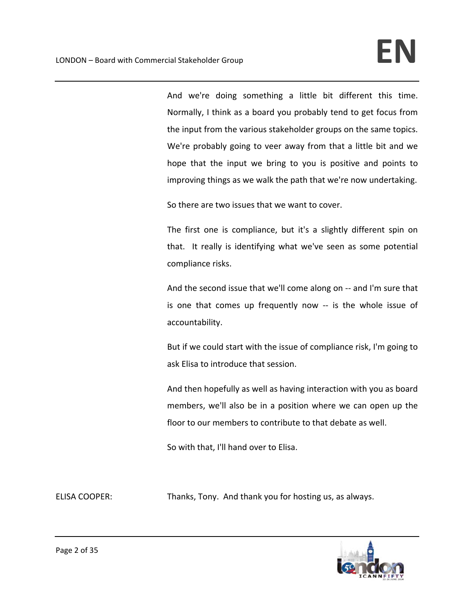And we're doing something a little bit different this time. Normally, I think as a board you probably tend to get focus from the input from the various stakeholder groups on the same topics. We're probably going to veer away from that a little bit and we hope that the input we bring to you is positive and points to improving things as we walk the path that we're now undertaking.

So there are two issues that we want to cover.

The first one is compliance, but it's a slightly different spin on that. It really is identifying what we've seen as some potential compliance risks.

And the second issue that we'll come along on ‐‐ and I'm sure that is one that comes up frequently now -- is the whole issue of accountability.

But if we could start with the issue of compliance risk, I'm going to ask Elisa to introduce that session.

And then hopefully as well as having interaction with you as board members, we'll also be in a position where we can open up the floor to our members to contribute to that debate as well.

So with that, I'll hand over to Elisa.

ELISA COOPER: Thanks, Tony. And thank you for hosting us, as always.

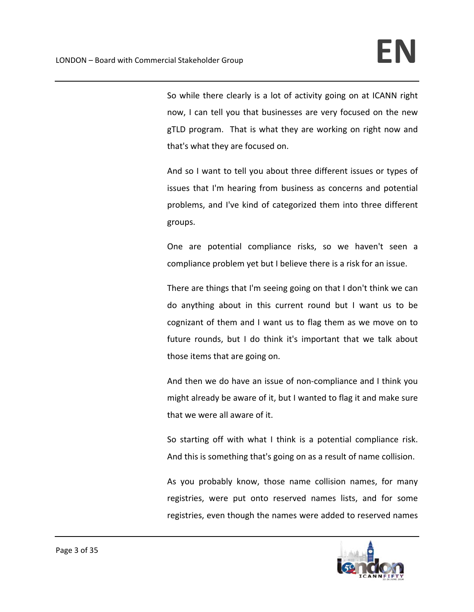So while there clearly is a lot of activity going on at ICANN right now, I can tell you that businesses are very focused on the new gTLD program. That is what they are working on right now and that's what they are focused on.

And so I want to tell you about three different issues or types of issues that I'm hearing from business as concerns and potential problems, and I've kind of categorized them into three different groups.

One are potential compliance risks, so we haven't seen a compliance problem yet but I believe there is a risk for an issue.

There are things that I'm seeing going on that I don't think we can do anything about in this current round but I want us to be cognizant of them and I want us to flag them as we move on to future rounds, but I do think it's important that we talk about those items that are going on.

And then we do have an issue of non‐compliance and I think you might already be aware of it, but I wanted to flag it and make sure that we were all aware of it.

So starting off with what I think is a potential compliance risk. And this is something that's going on as a result of name collision.

As you probably know, those name collision names, for many registries, were put onto reserved names lists, and for some registries, even though the names were added to reserved names

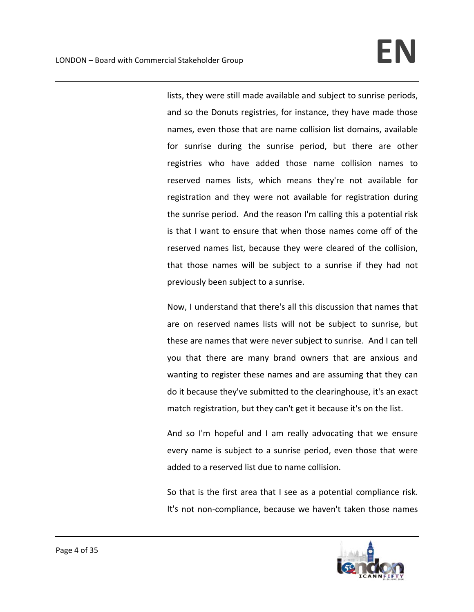lists, they were still made available and subject to sunrise periods, and so the Donuts registries, for instance, they have made those names, even those that are name collision list domains, available for sunrise during the sunrise period, but there are other registries who have added those name collision names to reserved names lists, which means they're not available for registration and they were not available for registration during the sunrise period. And the reason I'm calling this a potential risk is that I want to ensure that when those names come off of the reserved names list, because they were cleared of the collision, that those names will be subject to a sunrise if they had not previously been subject to a sunrise.

Now, I understand that there's all this discussion that names that are on reserved names lists will not be subject to sunrise, but these are names that were never subject to sunrise. And I can tell you that there are many brand owners that are anxious and wanting to register these names and are assuming that they can do it because they've submitted to the clearinghouse, it's an exact match registration, but they can't get it because it's on the list.

And so I'm hopeful and I am really advocating that we ensure every name is subject to a sunrise period, even those that were added to a reserved list due to name collision.

So that is the first area that I see as a potential compliance risk. It's not non-compliance, because we haven't taken those names

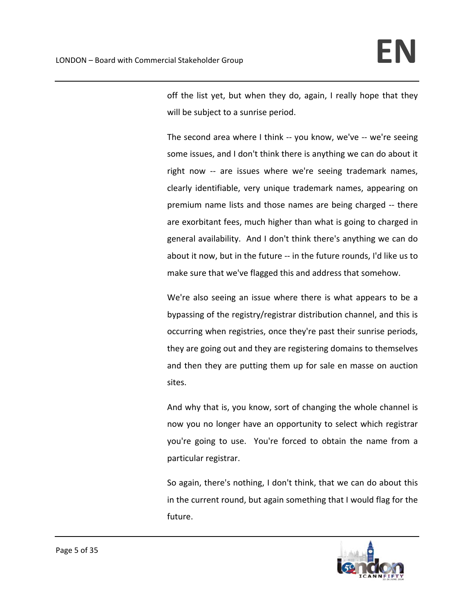off the list yet, but when they do, again, I really hope that they will be subject to a sunrise period.

The second area where I think -- you know, we've -- we're seeing some issues, and I don't think there is anything we can do about it right now -- are issues where we're seeing trademark names, clearly identifiable, very unique trademark names, appearing on premium name lists and those names are being charged ‐‐ there are exorbitant fees, much higher than what is going to charged in general availability. And I don't think there's anything we can do about it now, but in the future ‐‐ in the future rounds, I'd like us to make sure that we've flagged this and address that somehow.

We're also seeing an issue where there is what appears to be a bypassing of the registry/registrar distribution channel, and this is occurring when registries, once they're past their sunrise periods, they are going out and they are registering domains to themselves and then they are putting them up for sale en masse on auction sites.

And why that is, you know, sort of changing the whole channel is now you no longer have an opportunity to select which registrar you're going to use. You're forced to obtain the name from a particular registrar.

So again, there's nothing, I don't think, that we can do about this in the current round, but again something that I would flag for the future.

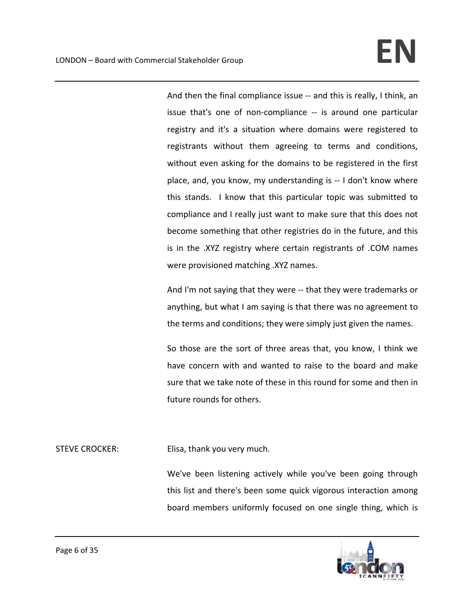And then the final compliance issue ‐‐ and this is really, I think, an issue that's one of non‐compliance ‐‐ is around one particular registry and it's a situation where domains were registered to registrants without them agreeing to terms and conditions, without even asking for the domains to be registered in the first place, and, you know, my understanding is ‐‐ I don't know where this stands. I know that this particular topic was submitted to compliance and I really just want to make sure that this does not become something that other registries do in the future, and this is in the .XYZ registry where certain registrants of .COM names were provisioned matching .XYZ names.

And I'm not saying that they were ‐‐ that they were trademarks or anything, but what I am saying is that there was no agreement to the terms and conditions; they were simply just given the names.

So those are the sort of three areas that, you know, I think we have concern with and wanted to raise to the board and make sure that we take note of these in this round for some and then in future rounds for others.

STEVE CROCKER: Elisa, thank you very much.

We've been listening actively while you've been going through this list and there's been some quick vigorous interaction among board members uniformly focused on one single thing, which is

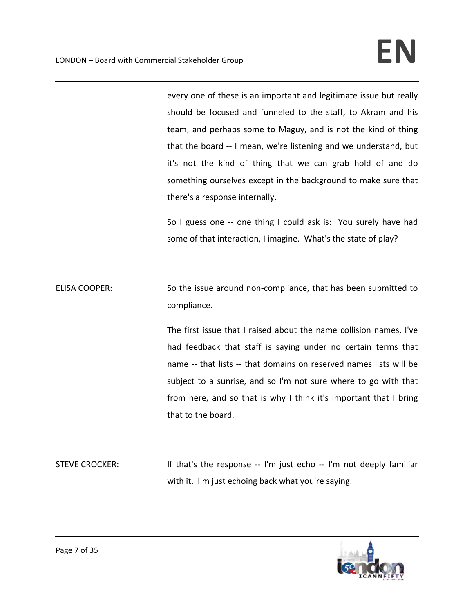every one of these is an important and legitimate issue but really should be focused and funneled to the staff, to Akram and his team, and perhaps some to Maguy, and is not the kind of thing that the board ‐‐ I mean, we're listening and we understand, but it's not the kind of thing that we can grab hold of and do something ourselves except in the background to make sure that there's a response internally.

So I guess one -- one thing I could ask is: You surely have had some of that interaction, I imagine. What's the state of play?

ELISA COOPER: So the issue around non-compliance, that has been submitted to compliance.

> The first issue that I raised about the name collision names, I've had feedback that staff is saying under no certain terms that name -- that lists -- that domains on reserved names lists will be subject to a sunrise, and so I'm not sure where to go with that from here, and so that is why I think it's important that I bring that to the board.

STEVE CROCKER: If that's the response -- I'm just echo -- I'm not deeply familiar with it. I'm just echoing back what you're saying.

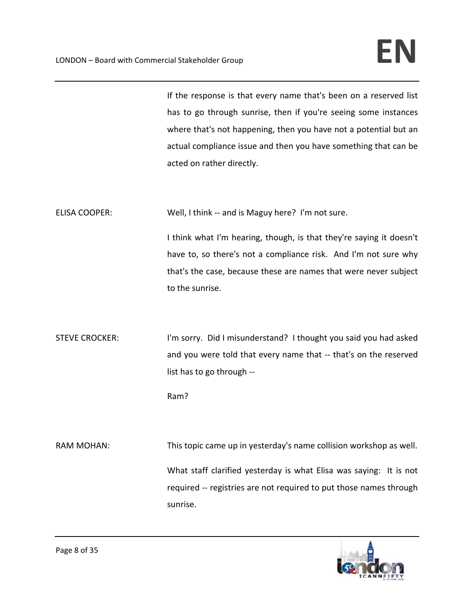If the response is that every name that's been on a reserved list has to go through sunrise, then if you're seeing some instances where that's not happening, then you have not a potential but an actual compliance issue and then you have something that can be acted on rather directly.

ELISA COOPER: Well, I think -- and is Maguy here? I'm not sure.

I think what I'm hearing, though, is that they're saying it doesn't have to, so there's not a compliance risk. And I'm not sure why that's the case, because these are names that were never subject to the sunrise.

STEVE CROCKER: I'm sorry. Did I misunderstand? I thought you said you had asked and you were told that every name that ‐‐ that's on the reserved list has to go through ‐‐

Ram?

RAM MOHAN: This topic came up in yesterday's name collision workshop as well. What staff clarified yesterday is what Elisa was saying: It is not required ‐‐ registries are not required to put those names through sunrise.

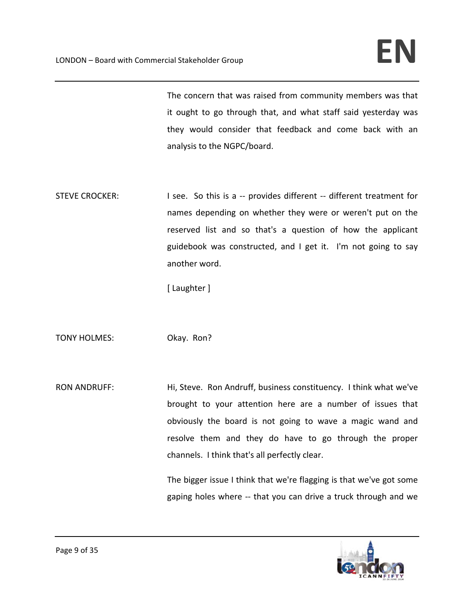The concern that was raised from community members was that it ought to go through that, and what staff said yesterday was they would consider that feedback and come back with an analysis to the NGPC/board.

STEVE CROCKER: I see. So this is a -- provides different -- different treatment for names depending on whether they were or weren't put on the reserved list and so that's a question of how the applicant guidebook was constructed, and I get it. I'm not going to say another word.

[ Laughter ]

TONY HOLMES: Okay. Ron?

RON ANDRUFF: Hi, Steve. Ron Andruff, business constituency. I think what we've brought to your attention here are a number of issues that obviously the board is not going to wave a magic wand and resolve them and they do have to go through the proper channels. I think that's all perfectly clear.

> The bigger issue I think that we're flagging is that we've got some gaping holes where -- that you can drive a truck through and we

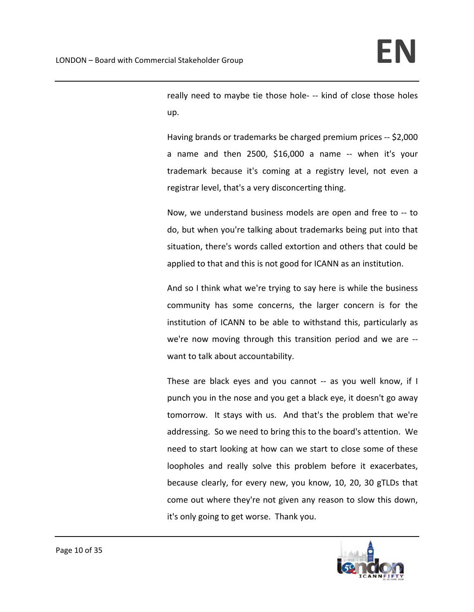really need to maybe tie those hole‐ ‐‐ kind of close those holes up.

Having brands or trademarks be charged premium prices ‐‐ \$2,000 a name and then  $2500$ ,  $$16,000$  a name  $-$  when it's your trademark because it's coming at a registry level, not even a registrar level, that's a very disconcerting thing.

Now, we understand business models are open and free to ‐‐ to do, but when you're talking about trademarks being put into that situation, there's words called extortion and others that could be applied to that and this is not good for ICANN as an institution.

And so I think what we're trying to say here is while the business community has some concerns, the larger concern is for the institution of ICANN to be able to withstand this, particularly as we're now moving through this transition period and we are ‐‐ want to talk about accountability.

These are black eyes and you cannot -- as you well know, if I punch you in the nose and you get a black eye, it doesn't go away tomorrow. It stays with us. And that's the problem that we're addressing. So we need to bring this to the board's attention. We need to start looking at how can we start to close some of these loopholes and really solve this problem before it exacerbates, because clearly, for every new, you know, 10, 20, 30 gTLDs that come out where they're not given any reason to slow this down, it's only going to get worse. Thank you.

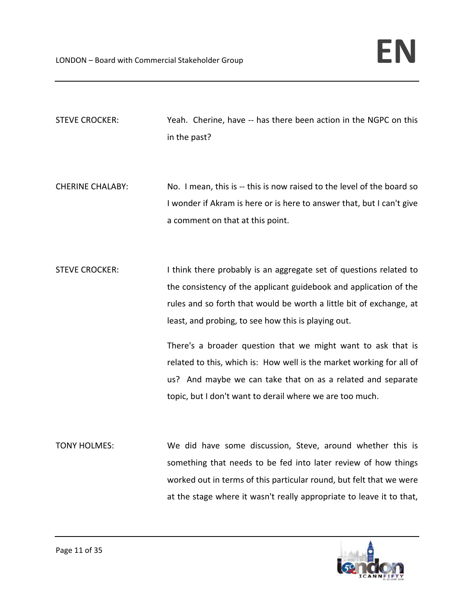STEVE CROCKER: Yeah. Cherine, have ‐‐ has there been action in the NGPC on this in the past?

- CHERINE CHALABY: No. I mean, this is -- this is now raised to the level of the board so I wonder if Akram is here or is here to answer that, but I can't give a comment on that at this point.
- STEVE CROCKER: I think there probably is an aggregate set of questions related to the consistency of the applicant guidebook and application of the rules and so forth that would be worth a little bit of exchange, at least, and probing, to see how this is playing out.

There's a broader question that we might want to ask that is related to this, which is: How well is the market working for all of us? And maybe we can take that on as a related and separate topic, but I don't want to derail where we are too much.

TONY HOLMES: We did have some discussion, Steve, around whether this is something that needs to be fed into later review of how things worked out in terms of this particular round, but felt that we were at the stage where it wasn't really appropriate to leave it to that,

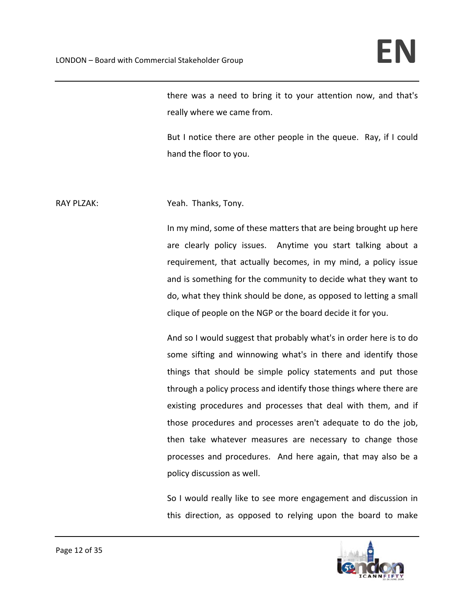there was a need to bring it to your attention now, and that's really where we came from.

But I notice there are other people in the queue. Ray, if I could hand the floor to you.

# RAY PLZAK: Yeah. Thanks, Tony.

In my mind, some of these matters that are being brought up here are clearly policy issues. Anytime you start talking about a requirement, that actually becomes, in my mind, a policy issue and is something for the community to decide what they want to do, what they think should be done, as opposed to letting a small clique of people on the NGP or the board decide it for you.

And so I would suggest that probably what's in order here is to do some sifting and winnowing what's in there and identify those things that should be simple policy statements and put those through a policy process and identify those things where there are existing procedures and processes that deal with them, and if those procedures and processes aren't adequate to do the job, then take whatever measures are necessary to change those processes and procedures. And here again, that may also be a policy discussion as well.

So I would really like to see more engagement and discussion in this direction, as opposed to relying upon the board to make

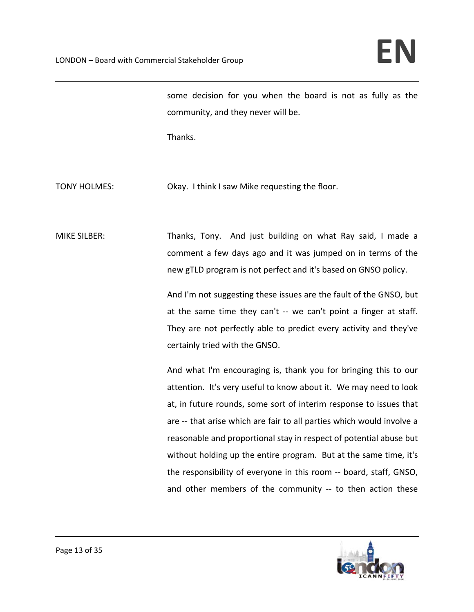some decision for you when the board is not as fully as the community, and they never will be.

Thanks.

TONY HOLMES: Chay. I think I saw Mike requesting the floor.

MIKE SILBER: Thanks, Tony. And just building on what Ray said, I made a comment a few days ago and it was jumped on in terms of the new gTLD program is not perfect and it's based on GNSO policy.

> And I'm not suggesting these issues are the fault of the GNSO, but at the same time they can't -- we can't point a finger at staff. They are not perfectly able to predict every activity and they've certainly tried with the GNSO.

> And what I'm encouraging is, thank you for bringing this to our attention. It's very useful to know about it. We may need to look at, in future rounds, some sort of interim response to issues that are ‐‐ that arise which are fair to all parties which would involve a reasonable and proportional stay in respect of potential abuse but without holding up the entire program. But at the same time, it's the responsibility of everyone in this room ‐‐ board, staff, GNSO, and other members of the community -- to then action these

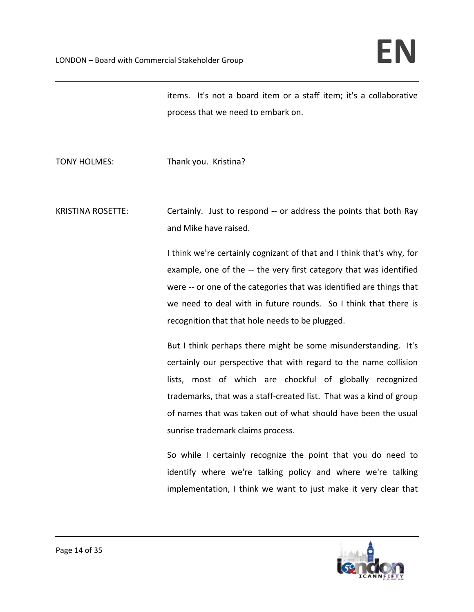items. It's not a board item or a staff item; it's a collaborative process that we need to embark on.

TONY HOLMES: Thank you. Kristina?

KRISTINA ROSETTE: *Certainly.* Just to respond -- or address the points that both Ray and Mike have raised.

> I think we're certainly cognizant of that and I think that's why, for example, one of the -- the very first category that was identified were -- or one of the categories that was identified are things that we need to deal with in future rounds. So I think that there is recognition that that hole needs to be plugged.

> But I think perhaps there might be some misunderstanding. It's certainly our perspective that with regard to the name collision lists, most of which are chockful of globally recognized trademarks, that was a staff‐created list. That was a kind of group of names that was taken out of what should have been the usual sunrise trademark claims process.

> So while I certainly recognize the point that you do need to identify where we're talking policy and where we're talking implementation, I think we want to just make it very clear that

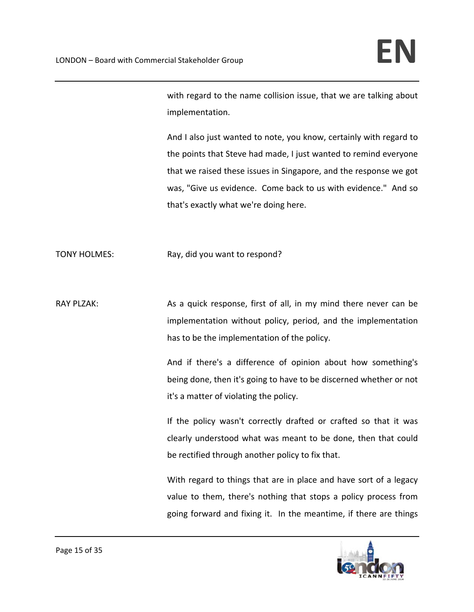with regard to the name collision issue, that we are talking about implementation.

And I also just wanted to note, you know, certainly with regard to the points that Steve had made, I just wanted to remind everyone that we raised these issues in Singapore, and the response we got was, "Give us evidence. Come back to us with evidence." And so that's exactly what we're doing here.

TONY HOLMES: Ray, did you want to respond?

RAY PLZAK: As a quick response, first of all, in my mind there never can be implementation without policy, period, and the implementation has to be the implementation of the policy.

> And if there's a difference of opinion about how something's being done, then it's going to have to be discerned whether or not it's a matter of violating the policy.

> If the policy wasn't correctly drafted or crafted so that it was clearly understood what was meant to be done, then that could be rectified through another policy to fix that.

> With regard to things that are in place and have sort of a legacy value to them, there's nothing that stops a policy process from going forward and fixing it. In the meantime, if there are things

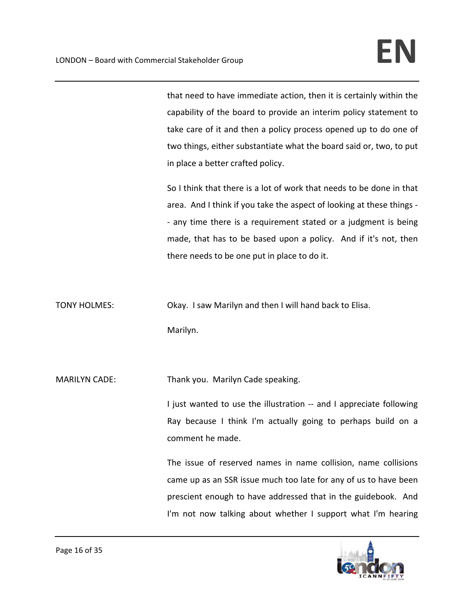that need to have immediate action, then it is certainly within the capability of the board to provide an interim policy statement to take care of it and then a policy process opened up to do one of two things, either substantiate what the board said or, two, to put in place a better crafted policy.

So I think that there is a lot of work that needs to be done in that area. And I think if you take the aspect of looking at these things ‐ ‐ any time there is a requirement stated or a judgment is being made, that has to be based upon a policy. And if it's not, then there needs to be one put in place to do it.

TONY HOLMES: Chay. I saw Marilyn and then I will hand back to Elisa.

Marilyn.

MARILYN CADE: Thank you. Marilyn Cade speaking.

I just wanted to use the illustration -- and I appreciate following Ray because I think I'm actually going to perhaps build on a comment he made.

The issue of reserved names in name collision, name collisions came up as an SSR issue much too late for any of us to have been prescient enough to have addressed that in the guidebook. And I'm not now talking about whether I support what I'm hearing

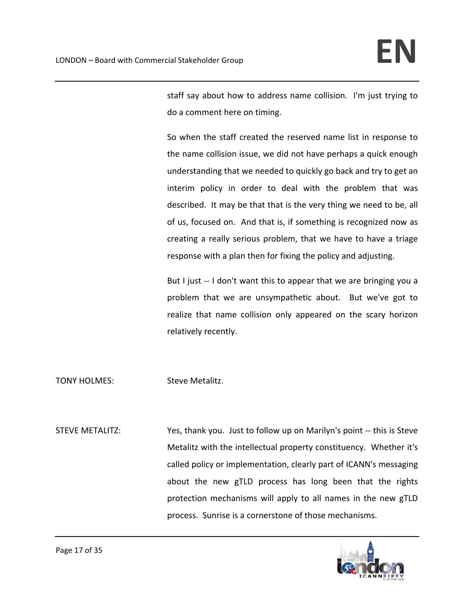staff say about how to address name collision. I'm just trying to do a comment here on timing.

So when the staff created the reserved name list in response to the name collision issue, we did not have perhaps a quick enough understanding that we needed to quickly go back and try to get an interim policy in order to deal with the problem that was described. It may be that that is the very thing we need to be, all of us, focused on. And that is, if something is recognized now as creating a really serious problem, that we have to have a triage response with a plan then for fixing the policy and adjusting.

But I just -- I don't want this to appear that we are bringing you a problem that we are unsympathetic about. But we've got to realize that name collision only appeared on the scary horizon relatively recently.

TONY HOLMES: Steve Metalitz.

STEVE METALITZ: Yes, thank you. Just to follow up on Marilyn's point ‐‐ this is Steve Metalitz with the intellectual property constituency. Whether it's called policy or implementation, clearly part of ICANN's messaging about the new gTLD process has long been that the rights protection mechanisms will apply to all names in the new gTLD process. Sunrise is a cornerstone of those mechanisms.

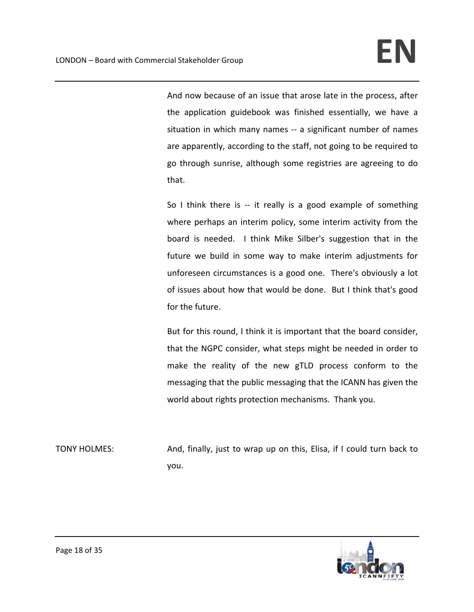And now because of an issue that arose late in the process, after the application guidebook was finished essentially, we have a situation in which many names -- a significant number of names are apparently, according to the staff, not going to be required to go through sunrise, although some registries are agreeing to do that.

So I think there is  $-$  it really is a good example of something where perhaps an interim policy, some interim activity from the board is needed. I think Mike Silber's suggestion that in the future we build in some way to make interim adjustments for unforeseen circumstances is a good one. There's obviously a lot of issues about how that would be done. But I think that's good for the future.

But for this round, I think it is important that the board consider, that the NGPC consider, what steps might be needed in order to make the reality of the new gTLD process conform to the messaging that the public messaging that the ICANN has given the world about rights protection mechanisms. Thank you.

TONY HOLMES: And, finally, just to wrap up on this, Elisa, if I could turn back to you.

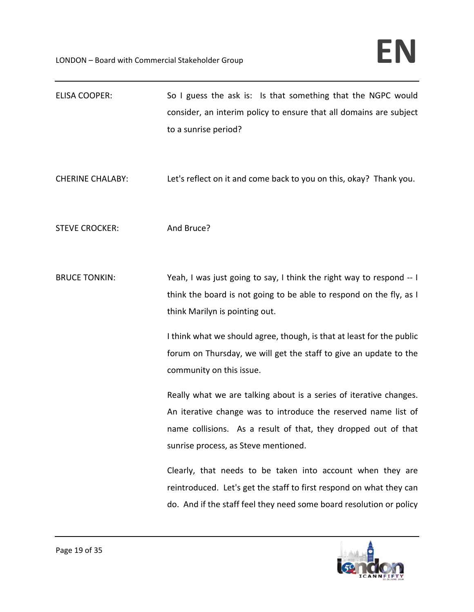| <b>ELISA COOPER:</b>    | So I guess the ask is: Is that something that the NGPC would<br>consider, an interim policy to ensure that all domains are subject<br>to a sunrise period?                                                                                                                                                                                                                                                                    |
|-------------------------|-------------------------------------------------------------------------------------------------------------------------------------------------------------------------------------------------------------------------------------------------------------------------------------------------------------------------------------------------------------------------------------------------------------------------------|
| <b>CHERINE CHALABY:</b> | Let's reflect on it and come back to you on this, okay? Thank you.                                                                                                                                                                                                                                                                                                                                                            |
| <b>STEVE CROCKER:</b>   | And Bruce?                                                                                                                                                                                                                                                                                                                                                                                                                    |
| <b>BRUCE TONKIN:</b>    | Yeah, I was just going to say, I think the right way to respond -- I<br>think the board is not going to be able to respond on the fly, as I<br>think Marilyn is pointing out.<br>I think what we should agree, though, is that at least for the public<br>forum on Thursday, we will get the staff to give an update to the<br>community on this issue.<br>Really what we are talking about is a series of iterative changes. |
|                         | An iterative change was to introduce the reserved name list of<br>name collisions. As a result of that, they dropped out of that<br>sunrise process, as Steve mentioned.                                                                                                                                                                                                                                                      |
|                         | Clearly, that needs to be taken into account when they are<br>reintroduced. Let's get the staff to first respond on what they can<br>do. And if the staff feel they need some board resolution or policy                                                                                                                                                                                                                      |

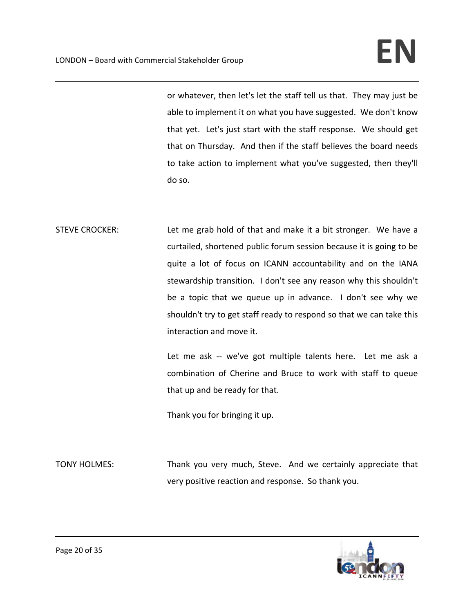or whatever, then let's let the staff tell us that. They may just be able to implement it on what you have suggested. We don't know that yet. Let's just start with the staff response. We should get that on Thursday. And then if the staff believes the board needs to take action to implement what you've suggested, then they'll do so.

STEVE CROCKER: Let me grab hold of that and make it a bit stronger. We have a curtailed, shortened public forum session because it is going to be quite a lot of focus on ICANN accountability and on the IANA stewardship transition. I don't see any reason why this shouldn't be a topic that we queue up in advance. I don't see why we shouldn't try to get staff ready to respond so that we can take this interaction and move it.

> Let me ask -- we've got multiple talents here. Let me ask a combination of Cherine and Bruce to work with staff to queue that up and be ready for that.

Thank you for bringing it up.

TONY HOLMES: Thank you very much, Steve. And we certainly appreciate that very positive reaction and response. So thank you.

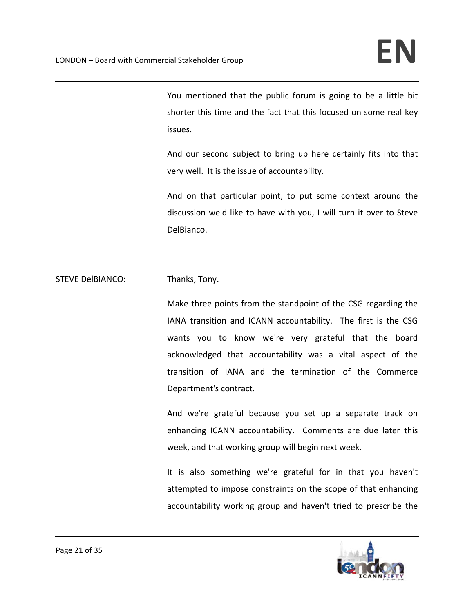You mentioned that the public forum is going to be a little bit shorter this time and the fact that this focused on some real key issues.

And our second subject to bring up here certainly fits into that very well. It is the issue of accountability.

And on that particular point, to put some context around the discussion we'd like to have with you, I will turn it over to Steve DelBianco.

STEVE DelBIANCO: Thanks, Tony.

Make three points from the standpoint of the CSG regarding the IANA transition and ICANN accountability. The first is the CSG wants you to know we're very grateful that the board acknowledged that accountability was a vital aspect of the transition of IANA and the termination of the Commerce Department's contract.

And we're grateful because you set up a separate track on enhancing ICANN accountability. Comments are due later this week, and that working group will begin next week.

It is also something we're grateful for in that you haven't attempted to impose constraints on the scope of that enhancing accountability working group and haven't tried to prescribe the

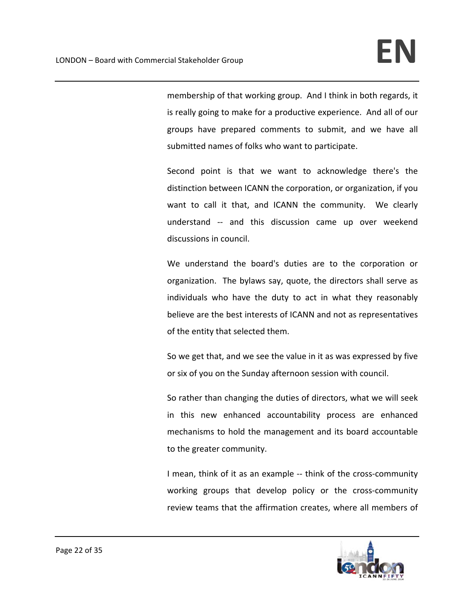membership of that working group. And I think in both regards, it is really going to make for a productive experience. And all of our groups have prepared comments to submit, and we have all submitted names of folks who want to participate.

Second point is that we want to acknowledge there's the distinction between ICANN the corporation, or organization, if you want to call it that, and ICANN the community. We clearly understand ‐‐ and this discussion came up over weekend discussions in council.

We understand the board's duties are to the corporation or organization. The bylaws say, quote, the directors shall serve as individuals who have the duty to act in what they reasonably believe are the best interests of ICANN and not as representatives of the entity that selected them.

So we get that, and we see the value in it as was expressed by five or six of you on the Sunday afternoon session with council.

So rather than changing the duties of directors, what we will seek in this new enhanced accountability process are enhanced mechanisms to hold the management and its board accountable to the greater community.

I mean, think of it as an example ‐‐ think of the cross‐community working groups that develop policy or the cross-community review teams that the affirmation creates, where all members of

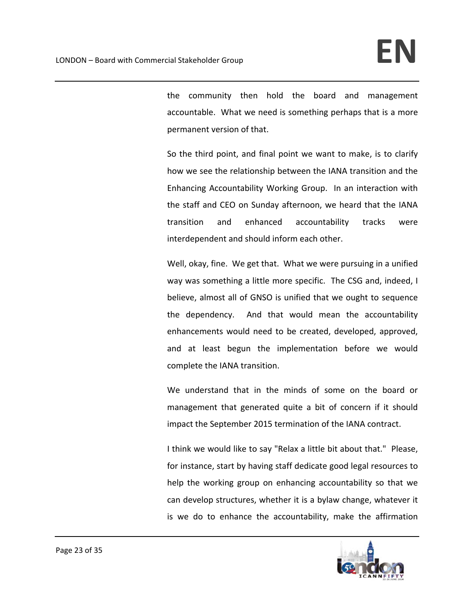the community then hold the board and management accountable. What we need is something perhaps that is a more permanent version of that.

So the third point, and final point we want to make, is to clarify how we see the relationship between the IANA transition and the Enhancing Accountability Working Group. In an interaction with the staff and CEO on Sunday afternoon, we heard that the IANA transition and enhanced accountability tracks were interdependent and should inform each other.

Well, okay, fine. We get that. What we were pursuing in a unified way was something a little more specific. The CSG and, indeed, I believe, almost all of GNSO is unified that we ought to sequence the dependency. And that would mean the accountability enhancements would need to be created, developed, approved, and at least begun the implementation before we would complete the IANA transition.

We understand that in the minds of some on the board or management that generated quite a bit of concern if it should impact the September 2015 termination of the IANA contract.

I think we would like to say "Relax a little bit about that." Please, for instance, start by having staff dedicate good legal resources to help the working group on enhancing accountability so that we can develop structures, whether it is a bylaw change, whatever it is we do to enhance the accountability, make the affirmation

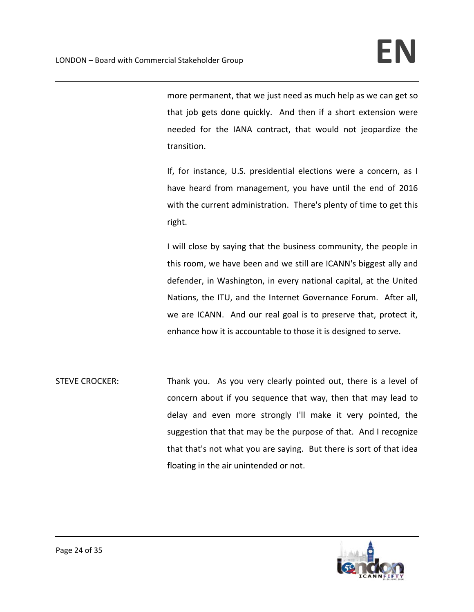more permanent, that we just need as much help as we can get so that job gets done quickly. And then if a short extension were needed for the IANA contract, that would not jeopardize the transition.

If, for instance, U.S. presidential elections were a concern, as I have heard from management, you have until the end of 2016 with the current administration. There's plenty of time to get this right.

I will close by saying that the business community, the people in this room, we have been and we still are ICANN's biggest ally and defender, in Washington, in every national capital, at the United Nations, the ITU, and the Internet Governance Forum. After all, we are ICANN. And our real goal is to preserve that, protect it, enhance how it is accountable to those it is designed to serve.

STEVE CROCKER: Thank you. As you very clearly pointed out, there is a level of concern about if you sequence that way, then that may lead to delay and even more strongly I'll make it very pointed, the suggestion that that may be the purpose of that. And I recognize that that's not what you are saying. But there is sort of that idea floating in the air unintended or not.

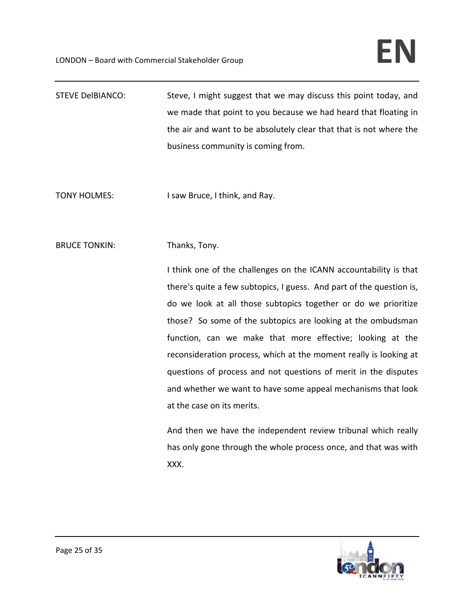- STEVE DelBIANCO: Steve, I might suggest that we may discuss this point today, and we made that point to you because we had heard that floating in the air and want to be absolutely clear that that is not where the business community is coming from.
- TONY HOLMES: I saw Bruce, I think, and Ray.
- BRUCE TONKIN: Thanks, Tony.

I think one of the challenges on the ICANN accountability is that there's quite a few subtopics, I guess. And part of the question is, do we look at all those subtopics together or do we prioritize those? So some of the subtopics are looking at the ombudsman function, can we make that more effective; looking at the reconsideration process, which at the moment really is looking at questions of process and not questions of merit in the disputes and whether we want to have some appeal mechanisms that look at the case on its merits.

And then we have the independent review tribunal which really has only gone through the whole process once, and that was with XXX.

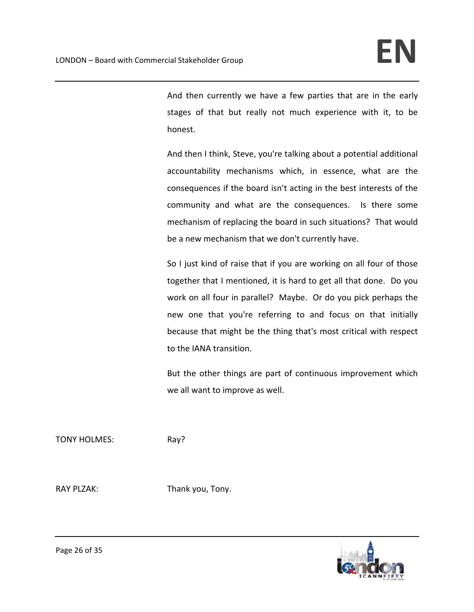And then currently we have a few parties that are in the early stages of that but really not much experience with it, to be honest.

And then I think, Steve, you're talking about a potential additional accountability mechanisms which, in essence, what are the consequences if the board isn't acting in the best interests of the community and what are the consequences. Is there some mechanism of replacing the board in such situations? That would be a new mechanism that we don't currently have.

So I just kind of raise that if you are working on all four of those together that I mentioned, it is hard to get all that done. Do you work on all four in parallel? Maybe. Or do you pick perhaps the new one that you're referring to and focus on that initially because that might be the thing that's most critical with respect to the IANA transition.

But the other things are part of continuous improvement which we all want to improve as well.

TONY HOLMES: Ray?

RAY PLZAK: Thank you, Tony.

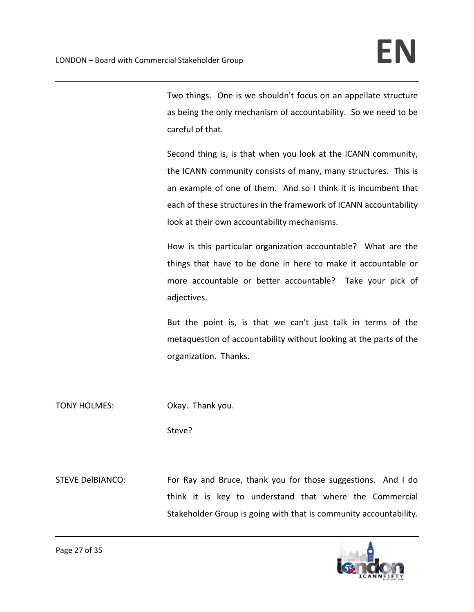Two things. One is we shouldn't focus on an appellate structure as being the only mechanism of accountability. So we need to be careful of that.

Second thing is, is that when you look at the ICANN community, the ICANN community consists of many, many structures. This is an example of one of them. And so I think it is incumbent that each of these structures in the framework of ICANN accountability look at their own accountability mechanisms.

How is this particular organization accountable? What are the things that have to be done in here to make it accountable or more accountable or better accountable? Take your pick of adjectives.

But the point is, is that we can't just talk in terms of the metaquestion of accountability without looking at the parts of the organization. Thanks.

TONY HOLMES: Okay. Thank you.

Steve?

STEVE DelBIANCO: For Ray and Bruce, thank you for those suggestions. And I do think it is key to understand that where the Commercial Stakeholder Group is going with that is community accountability.

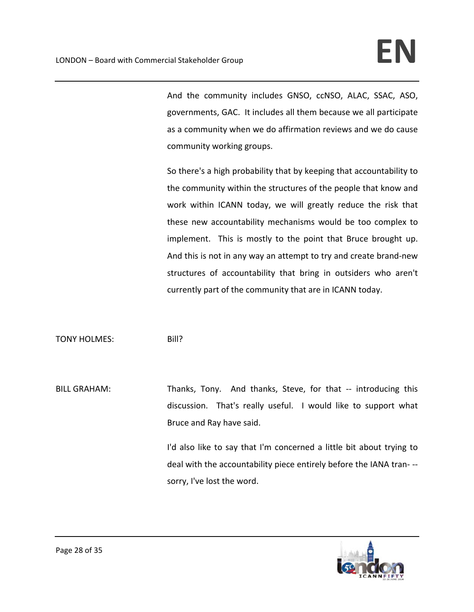And the community includes GNSO, ccNSO, ALAC, SSAC, ASO, governments, GAC. It includes all them because we all participate as a community when we do affirmation reviews and we do cause community working groups.

So there's a high probability that by keeping that accountability to the community within the structures of the people that know and work within ICANN today, we will greatly reduce the risk that these new accountability mechanisms would be too complex to implement. This is mostly to the point that Bruce brought up. And this is not in any way an attempt to try and create brand‐new structures of accountability that bring in outsiders who aren't currently part of the community that are in ICANN today.

TONY HOLMES: Bill?

BILL GRAHAM: Thanks, Tony. And thanks, Steve, for that -- introducing this discussion. That's really useful. I would like to support what Bruce and Ray have said.

> I'd also like to say that I'm concerned a little bit about trying to deal with the accountability piece entirely before the IANA tran‐ ‐‐ sorry, I've lost the word.

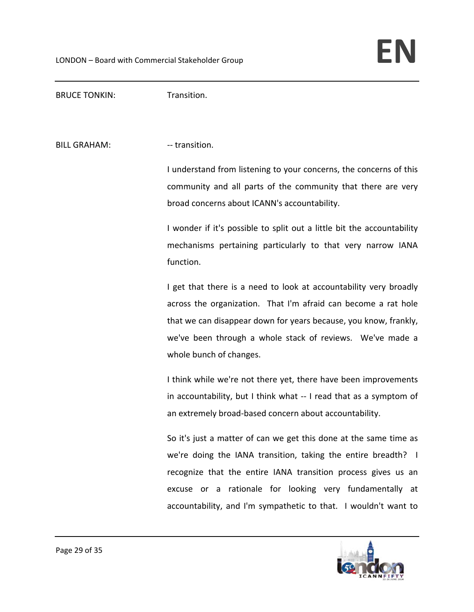BRUCE TONKIN: Transition.

BILL GRAHAM: The Second Seconds of the SEC of the BILL GRAHAM:

I understand from listening to your concerns, the concerns of this community and all parts of the community that there are very broad concerns about ICANN's accountability.

I wonder if it's possible to split out a little bit the accountability mechanisms pertaining particularly to that very narrow IANA function.

I get that there is a need to look at accountability very broadly across the organization. That I'm afraid can become a rat hole that we can disappear down for years because, you know, frankly, we've been through a whole stack of reviews. We've made a whole bunch of changes.

I think while we're not there yet, there have been improvements in accountability, but I think what ‐‐ I read that as a symptom of an extremely broad‐based concern about accountability.

So it's just a matter of can we get this done at the same time as we're doing the IANA transition, taking the entire breadth? I recognize that the entire IANA transition process gives us an excuse or a rationale for looking very fundamentally at accountability, and I'm sympathetic to that. I wouldn't want to

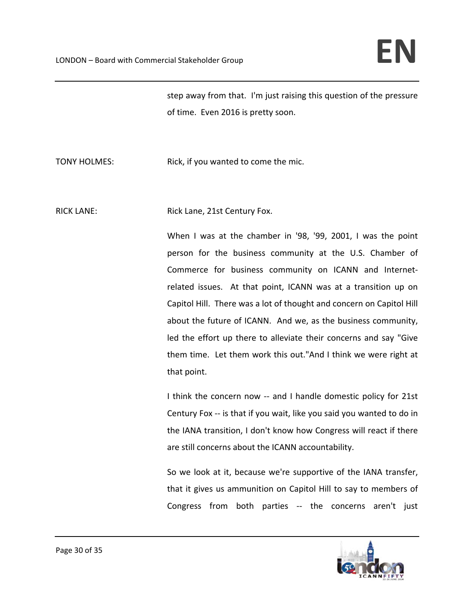step away from that. I'm just raising this question of the pressure of time. Even 2016 is pretty soon.

TONY HOLMES: Rick, if you wanted to come the mic.

RICK LANE: Rick Lane, 21st Century Fox.

When I was at the chamber in '98, '99, 2001, I was the point person for the business community at the U.S. Chamber of Commerce for business community on ICANN and Internet‐ related issues. At that point, ICANN was at a transition up on Capitol Hill. There was a lot of thought and concern on Capitol Hill about the future of ICANN. And we, as the business community, led the effort up there to alleviate their concerns and say "Give them time. Let them work this out."And I think we were right at that point.

I think the concern now -- and I handle domestic policy for 21st Century Fox ‐‐ is that if you wait, like you said you wanted to do in the IANA transition, I don't know how Congress will react if there are still concerns about the ICANN accountability.

So we look at it, because we're supportive of the IANA transfer, that it gives us ammunition on Capitol Hill to say to members of Congress from both parties ‐‐ the concerns aren't just

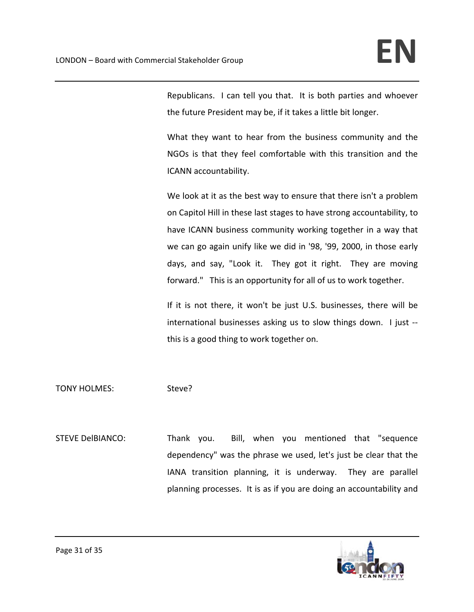Republicans. I can tell you that. It is both parties and whoever the future President may be, if it takes a little bit longer.

What they want to hear from the business community and the NGOs is that they feel comfortable with this transition and the ICANN accountability.

We look at it as the best way to ensure that there isn't a problem on Capitol Hill in these last stages to have strong accountability, to have ICANN business community working together in a way that we can go again unify like we did in '98, '99, 2000, in those early days, and say, "Look it. They got it right. They are moving forward." This is an opportunity for all of us to work together.

If it is not there, it won't be just U.S. businesses, there will be international businesses asking us to slow things down. I just ‐‐ this is a good thing to work together on.

TONY HOLMES: Steve?

STEVE DelBIANCO: Thank you. Bill, when you mentioned that "sequence dependency" was the phrase we used, let's just be clear that the IANA transition planning, it is underway. They are parallel planning processes. It is as if you are doing an accountability and

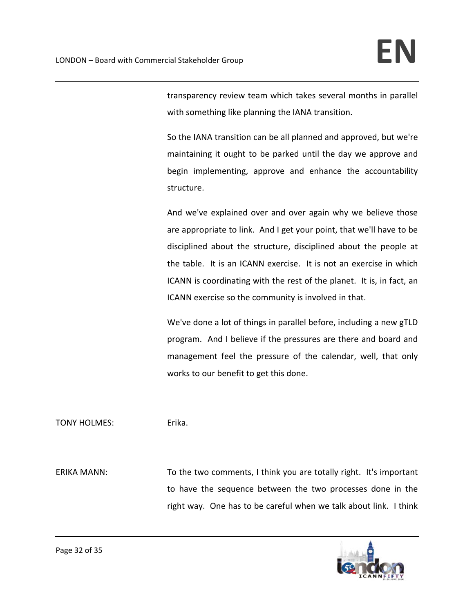transparency review team which takes several months in parallel with something like planning the IANA transition.

So the IANA transition can be all planned and approved, but we're maintaining it ought to be parked until the day we approve and begin implementing, approve and enhance the accountability structure.

And we've explained over and over again why we believe those are appropriate to link. And I get your point, that we'll have to be disciplined about the structure, disciplined about the people at the table. It is an ICANN exercise. It is not an exercise in which ICANN is coordinating with the rest of the planet. It is, in fact, an ICANN exercise so the community is involved in that.

We've done a lot of things in parallel before, including a new gTLD program. And I believe if the pressures are there and board and management feel the pressure of the calendar, well, that only works to our benefit to get this done.

# TONY HOLMES: Erika.

ERIKA MANN: To the two comments, I think you are totally right. It's important to have the sequence between the two processes done in the right way. One has to be careful when we talk about link. I think

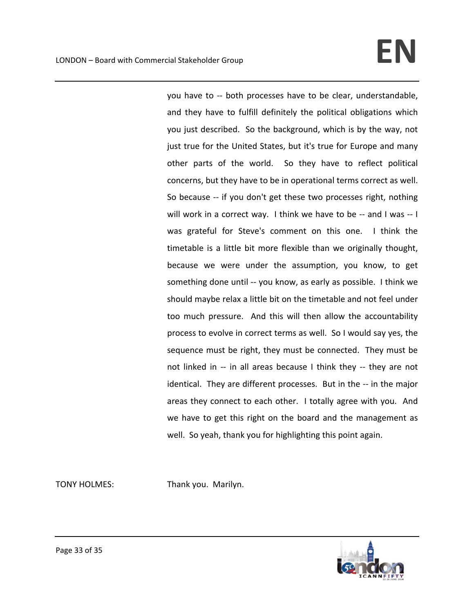you have to ‐‐ both processes have to be clear, understandable, and they have to fulfill definitely the political obligations which you just described. So the background, which is by the way, not just true for the United States, but it's true for Europe and many other parts of the world. So they have to reflect political concerns, but they have to be in operational terms correct as well. So because -- if you don't get these two processes right, nothing will work in a correct way. I think we have to be -- and I was -- I was grateful for Steve's comment on this one. I think the timetable is a little bit more flexible than we originally thought, because we were under the assumption, you know, to get something done until -- you know, as early as possible. I think we should maybe relax a little bit on the timetable and not feel under too much pressure. And this will then allow the accountability process to evolve in correct terms as well. So I would say yes, the sequence must be right, they must be connected. They must be not linked in -- in all areas because I think they -- they are not identical. They are different processes. But in the -- in the major areas they connect to each other. I totally agree with you. And we have to get this right on the board and the management as well. So yeah, thank you for highlighting this point again.

TONY HOLMES: Thank you. Marilyn.

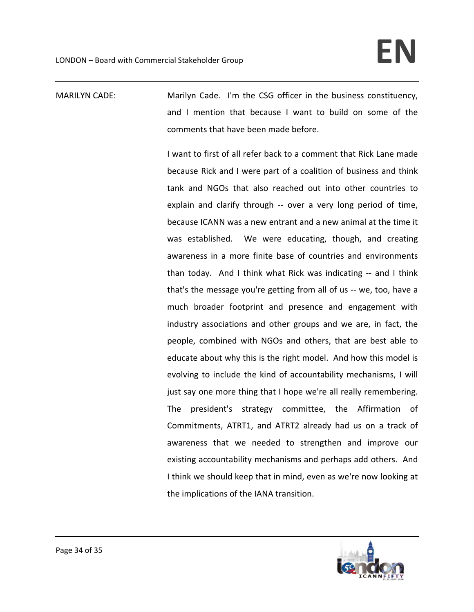MARILYN CADE: Marilyn Cade. I'm the CSG officer in the business constituency, and I mention that because I want to build on some of the comments that have been made before.

> I want to first of all refer back to a comment that Rick Lane made because Rick and I were part of a coalition of business and think tank and NGOs that also reached out into other countries to explain and clarify through -- over a very long period of time, because ICANN was a new entrant and a new animal at the time it was established. We were educating, though, and creating awareness in a more finite base of countries and environments than today. And I think what Rick was indicating -- and I think that's the message you're getting from all of us ‐‐ we, too, have a much broader footprint and presence and engagement with industry associations and other groups and we are, in fact, the people, combined with NGOs and others, that are best able to educate about why this is the right model. And how this model is evolving to include the kind of accountability mechanisms, I will just say one more thing that I hope we're all really remembering. The president's strategy committee, the Affirmation of Commitments, ATRT1, and ATRT2 already had us on a track of awareness that we needed to strengthen and improve our existing accountability mechanisms and perhaps add others. And I think we should keep that in mind, even as we're now looking at the implications of the IANA transition.